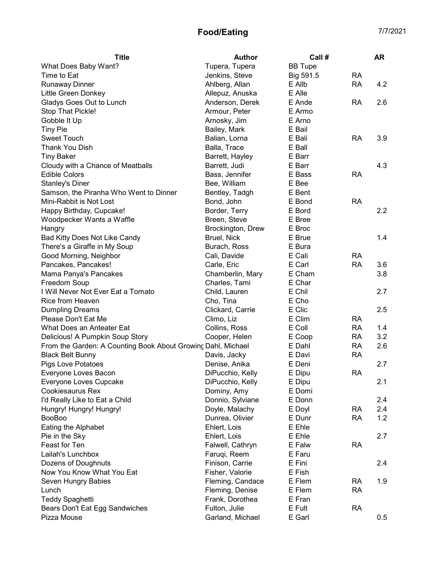| <b>Title</b>                                                 | <b>Author</b>     | Call #         |           | <b>AR</b> |
|--------------------------------------------------------------|-------------------|----------------|-----------|-----------|
| What Does Baby Want?                                         | Tupera, Tupera    | <b>BB</b> Tupe |           |           |
| Time to Eat                                                  | Jenkins, Steve    | Big 591.5      | <b>RA</b> |           |
| <b>Runaway Dinner</b>                                        | Ahlberg, Allan    | E Allb         | <b>RA</b> | 4.2       |
| Little Green Donkey                                          | Allepuz, Anuska   | E Alle         |           |           |
| Gladys Goes Out to Lunch                                     | Anderson, Derek   | E Ande         | RA        | 2.6       |
| Stop That Pickle!                                            | Armour, Peter     | E Armo         |           |           |
| Gobble It Up                                                 | Arnosky, Jim      | E Arno         |           |           |
| <b>Tiny Pie</b>                                              | Bailey, Mark      | E Bail         |           |           |
| <b>Sweet Touch</b>                                           | Balian, Lorna     | E Bali         | RA        | 3.9       |
| Thank You Dish                                               | Balla, Trace      | E Ball         |           |           |
| <b>Tiny Baker</b>                                            | Barrett, Hayley   | E Barr         |           |           |
| Cloudy with a Chance of Meatballs                            | Barrett, Judi     | E Barr         |           | 4.3       |
| <b>Edible Colors</b>                                         | Bass, Jennifer    | E Bass         | <b>RA</b> |           |
| <b>Stanley's Diner</b>                                       | Bee, William      | E Bee          |           |           |
| Samson, the Piranha Who Went to Dinner                       | Bentley, Tadgh    | E Bent         |           |           |
| Mini-Rabbit is Not Lost                                      | Bond, John        | E Bond         | <b>RA</b> |           |
| Happy Birthday, Cupcake!                                     | Border, Terry     | E Bord         |           | 2.2       |
| Woodpecker Wants a Waffle                                    | Breen, Steve      | E Bree         |           |           |
| Hangry                                                       | Brockington, Drew | E Broc         |           |           |
| Bad Kitty Does Not Like Candy                                | Bruel, Nick       | E Brue         |           | 1.4       |
| There's a Giraffe in My Soup                                 | Burach, Ross      | E Bura         |           |           |
| Good Morning, Neighbor                                       | Cali, Davide      | E Cali         | <b>RA</b> |           |
| Pancakes, Pancakes!                                          | Carle, Eric       | E Carl         | <b>RA</b> | 3.6       |
| Mama Panya's Pancakes                                        | Chamberlin, Mary  | E Cham         |           | 3.8       |
| Freedom Soup                                                 | Charles, Tami     | E Char         |           |           |
| I Will Never Not Ever Eat a Tomato                           | Child, Lauren     | E Chil         |           | 2.7       |
| Rice from Heaven                                             | Cho, Tina         | E Cho          |           |           |
| <b>Dumpling Dreams</b>                                       | Clickard, Carrie  | E Clic         |           | 2.5       |
| Please Don't Eat Me                                          | Climo, Liz        | E Clim         | <b>RA</b> |           |
| What Does an Anteater Eat                                    | Collins, Ross     | E Coll         | <b>RA</b> | 1.4       |
| Delicious! A Pumpkin Soup Story                              | Cooper, Helen     | E Coop         | <b>RA</b> | 3.2       |
| From the Garden: A Counting Book About Growing Dahl, Michael |                   | E Dahl         | <b>RA</b> | 2.6       |
| <b>Black Belt Bunny</b>                                      | Davis, Jacky      | E Davi         | <b>RA</b> |           |
| <b>Pigs Love Potatoes</b>                                    | Denise, Anika     | E Deni         |           | 2.7       |
| Everyone Loves Bacon                                         | DiPucchio, Kelly  | E Dipu         | <b>RA</b> |           |
| Everyone Loves Cupcake                                       | DiPucchio, Kelly  | E Dipu         |           | 2.1       |
| <b>Cookiesaurus Rex</b>                                      | Dominy, Amy       | E Domi         |           |           |
| I'd Really Like to Eat a Child                               | Donnio, Sylviane  | E Donn         |           | 2.4       |
| Hungry! Hungry! Hungry!                                      | Doyle, Malachy    | E Doyl         | RA        | 2.4       |
| <b>BooBoo</b>                                                | Dunrea, Olivier   | E Dunr         | <b>RA</b> | 1.2       |
| Eating the Alphabet                                          | Ehlert, Lois      | E Ehle         |           |           |
| Pie in the Sky                                               | Ehlert, Lois      | E Ehle         |           | 2.7       |
| Feast for Ten                                                | Falwell, Cathryn  | E Falw         | <b>RA</b> |           |
| Lailah's Lunchbox                                            | Faruqi, Reem      | E Faru         |           |           |
| Dozens of Doughnuts                                          | Finison, Carrie   | E Fini         |           | 2.4       |
| Now You Know What You Eat                                    | Fisher, Valorie   | E Fish         |           |           |
| Seven Hungry Babies                                          | Fleming, Candace  | E Flem         | <b>RA</b> | 1.9       |
| Lunch                                                        | Fleming, Denise   | E Flem         | <b>RA</b> |           |
| <b>Teddy Spaghetti</b>                                       | Frank, Dorothea   | E Fran         |           |           |
| Bears Don't Eat Egg Sandwiches                               | Fulton, Julie     | E Fult         | <b>RA</b> |           |
| Pizza Mouse                                                  | Garland, Michael  | E Garl         |           | 0.5       |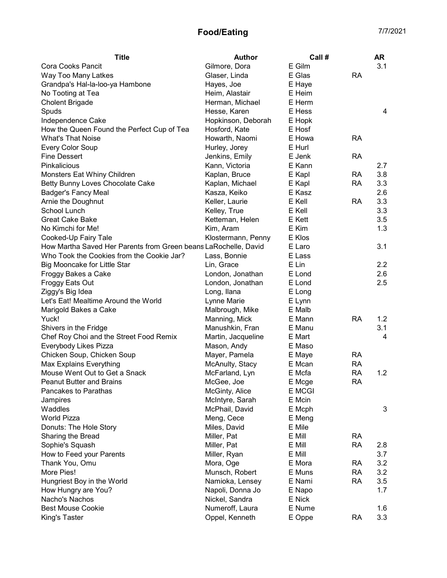| <b>Title</b>                                                    | <b>Author</b>      | Call #        |           | AR  |
|-----------------------------------------------------------------|--------------------|---------------|-----------|-----|
| Cora Cooks Pancit                                               | Gilmore, Dora      | E Gilm        |           | 3.1 |
| Way Too Many Latkes                                             | Glaser, Linda      | E Glas        | <b>RA</b> |     |
| Grandpa's Hal-la-loo-ya Hambone                                 | Hayes, Joe         | E Haye        |           |     |
| No Tooting at Tea                                               | Heim, Alastair     | E Heim        |           |     |
| <b>Cholent Brigade</b>                                          | Herman, Michael    | E Herm        |           |     |
| Spuds                                                           | Hesse, Karen       | E Hess        |           | 4   |
| Independence Cake                                               | Hopkinson, Deborah | E Hopk        |           |     |
| How the Queen Found the Perfect Cup of Tea                      | Hosford, Kate      | E Hosf        |           |     |
| <b>What's That Noise</b>                                        | Howarth, Naomi     | E Howa        | <b>RA</b> |     |
| <b>Every Color Soup</b>                                         | Hurley, Jorey      | E Hurl        |           |     |
| <b>Fine Dessert</b>                                             | Jenkins, Emily     | E Jenk        | <b>RA</b> |     |
| Pinkalicious                                                    | Kann, Victoria     | E Kann        |           | 2.7 |
| Monsters Eat Whiny Children                                     | Kaplan, Bruce      | E Kapl        | RA        | 3.8 |
| Betty Bunny Loves Chocolate Cake                                | Kaplan, Michael    | E Kapl        | <b>RA</b> | 3.3 |
| <b>Badger's Fancy Meal</b>                                      | Kasza, Keiko       | E Kasz        |           | 2.6 |
| Arnie the Doughnut                                              | Keller, Laurie     | E Kell        | <b>RA</b> | 3.3 |
| School Lunch                                                    | Kelley, True       | E Kell        |           | 3.3 |
| <b>Great Cake Bake</b>                                          | Ketteman, Helen    | E Kett        |           | 3.5 |
| No Kimchi for Me!                                               | Kim, Aram          | E Kim         |           | 1.3 |
| Cooked-Up Fairy Tale                                            | Klostermann, Penny | E Klos        |           |     |
| How Martha Saved Her Parents from Green beans LaRochelle, David |                    | E Laro        |           | 3.1 |
| Who Took the Cookies from the Cookie Jar?                       | Lass, Bonnie       | E Lass        |           |     |
| Big Mooncake for Little Star                                    | Lin, Grace         | E Lin         |           | 2.2 |
| Froggy Bakes a Cake                                             | London, Jonathan   | E Lond        |           | 2.6 |
| <b>Froggy Eats Out</b>                                          | London, Jonathan   | E Lond        |           | 2.5 |
| Ziggy's Big Idea                                                | Long, Ilana        | E Long        |           |     |
| Let's Eat! Mealtime Around the World                            | Lynne Marie        | E Lynn        |           |     |
| Marigold Bakes a Cake                                           | Malbrough, Mike    | E Malb        |           |     |
| Yuck!                                                           | Manning, Mick      | E Mann        | <b>RA</b> | 1.2 |
| Shivers in the Fridge                                           | Manushkin, Fran    | E Manu        |           | 3.1 |
| Chef Roy Choi and the Street Food Remix                         | Martin, Jacqueline | E Mart        |           | 4   |
| Everybody Likes Pizza                                           | Mason, Andy        | E Maso        |           |     |
| Chicken Soup, Chicken Soup                                      | Mayer, Pamela      | E Maye        | <b>RA</b> |     |
| Max Explains Everything                                         | McAnulty, Stacy    | E Mcan        | <b>RA</b> |     |
| Mouse Went Out to Get a Snack                                   | McFarland, Lyn     | E Mcfa        | <b>RA</b> | 1.2 |
| <b>Peanut Butter and Brains</b>                                 | McGee, Joe         | E Mcge        | <b>RA</b> |     |
| Pancakes to Parathas                                            | McGinty, Alice     | <b>E</b> MCGI |           |     |
| Jampires                                                        | McIntyre, Sarah    | E Mcin        |           |     |
| Waddles                                                         | McPhail, David     | E Mcph        |           | 3   |
| <b>World Pizza</b>                                              | Meng, Cece         | E Meng        |           |     |
| Donuts: The Hole Story                                          | Miles, David       | E Mile        |           |     |
| Sharing the Bread                                               | Miller, Pat        | E Mill        | <b>RA</b> |     |
| Sophie's Squash                                                 | Miller, Pat        | E Mill        | <b>RA</b> | 2.8 |
| How to Feed your Parents                                        | Miller, Ryan       | E Mill        |           | 3.7 |
| Thank You, Omu                                                  | Mora, Oge          | E Mora        | <b>RA</b> | 3.2 |
| More Pies!                                                      | Munsch, Robert     | E Muns        | <b>RA</b> | 3.2 |
| Hungriest Boy in the World                                      | Namioka, Lensey    | E Nami        | <b>RA</b> | 3.5 |
| How Hungry are You?                                             | Napoli, Donna Jo   | E Napo        |           | 1.7 |
| Nacho's Nachos                                                  | Nickel, Sandra     | E Nick        |           |     |
| <b>Best Mouse Cookie</b>                                        | Numeroff, Laura    | E Nume        |           | 1.6 |
| King's Taster                                                   | Oppel, Kenneth     | E Oppe        | <b>RA</b> | 3.3 |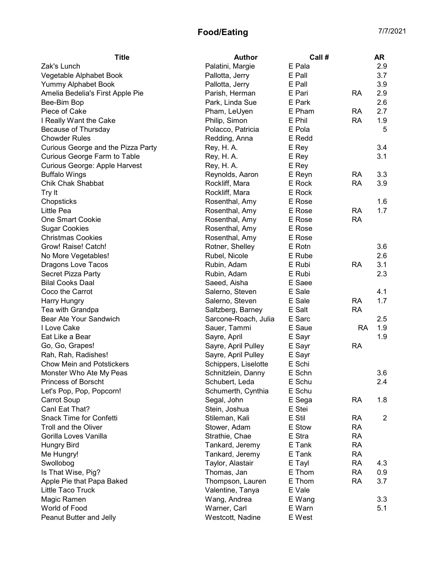| <b>Title</b>                       | <b>Author</b>        | Call # |           | AR             |
|------------------------------------|----------------------|--------|-----------|----------------|
| Zak's Lunch                        | Palatini, Margie     | E Pala |           | 2.9            |
| Vegetable Alphabet Book            | Pallotta, Jerry      | E Pall |           | 3.7            |
| Yummy Alphabet Book                | Pallotta, Jerry      | E Pall |           | 3.9            |
| Amelia Bedelia's First Apple Pie   | Parish, Herman       | E Pari | RA        | 2.9            |
| Bee-Bim Bop                        | Park, Linda Sue      | E Park |           | 2.6            |
| Piece of Cake                      | Pham, LeUyen         | E Pham | <b>RA</b> | 2.7            |
| I Really Want the Cake             | Philip, Simon        | E Phil | <b>RA</b> | 1.9            |
| Because of Thursday                | Polacco, Patricia    | E Pola |           | 5              |
| <b>Chowder Rules</b>               | Redding, Anna        | E Redd |           |                |
| Curious George and the Pizza Party | Rey, H. A.           | E Rey  |           | 3.4            |
| Curious George Farm to Table       | Rey, H. A.           | E Rey  |           | 3.1            |
| Curious George: Apple Harvest      | Rey, H. A.           | E Rey  |           |                |
| <b>Buffalo Wings</b>               | Reynolds, Aaron      | E Reyn | RA        | 3.3            |
| Chik Chak Shabbat                  | Rockliff, Mara       | E Rock | <b>RA</b> | 3.9            |
| Try It                             | Rockliff, Mara       | E Rock |           |                |
| Chopsticks                         | Rosenthal, Amy       | E Rose |           | 1.6            |
| Little Pea                         | Rosenthal, Amy       | E Rose | <b>RA</b> | 1.7            |
| <b>One Smart Cookie</b>            | Rosenthal, Amy       | E Rose | <b>RA</b> |                |
| <b>Sugar Cookies</b>               | Rosenthal, Amy       | E Rose |           |                |
| <b>Christmas Cookies</b>           | Rosenthal, Amy       | E Rose |           |                |
| Grow! Raise! Catch!                | Rotner, Shelley      | E Rotn |           | 3.6            |
| No More Vegetables!                | Rubel, Nicole        | E Rube |           | 2.6            |
| Dragons Love Tacos                 | Rubin, Adam          | E Rubi | <b>RA</b> | 3.1            |
| Secret Pizza Party                 | Rubin, Adam          | E Rubi |           | 2.3            |
| <b>Bilal Cooks Daal</b>            | Saeed, Aisha         | E Saee |           |                |
| Coco the Carrot                    | Salerno, Steven      | E Sale |           | 4.1            |
| Harry Hungry                       | Salerno, Steven      | E Sale | <b>RA</b> | 1.7            |
| Tea with Grandpa                   | Saltzberg, Barney    | E Salt | <b>RA</b> |                |
| Bear Ate Your Sandwich             | Sarcone-Roach, Julia | E Sarc |           | 2.5            |
| I Love Cake                        | Sauer, Tammi         | E Saue | <b>RA</b> | 1.9            |
| Eat Like a Bear                    | Sayre, April         | E Sayr |           | 1.9            |
| Go, Go, Grapes!                    | Sayre, April Pulley  | E Sayr | <b>RA</b> |                |
| Rah, Rah, Radishes!                | Sayre, April Pulley  | E Sayr |           |                |
| <b>Chow Mein and Potstickers</b>   | Schippers, Liselotte | E Schi |           |                |
| Monster Who Ate My Peas            | Schnitzlein, Danny   | E Schn |           | 3.6            |
| Princess of Borscht                | Schubert, Leda       | E Schu |           | 2.4            |
| Let's Pop, Pop, Popcorn!           | Schumerth, Cynthia   | E Schu |           |                |
| <b>Carrot Soup</b>                 | Segal, John          | E Sega | <b>RA</b> | 1.8            |
| Canl Eat That?                     | Stein, Joshua        | E Stei |           |                |
| Snack Time for Confetti            | Stileman, Kali       | E Stil | RA        | $\overline{2}$ |
| Troll and the Oliver               | Stower, Adam         | E Stow | <b>RA</b> |                |
| Gorilla Loves Vanilla              | Strathie, Chae       | E Stra | <b>RA</b> |                |
| <b>Hungry Bird</b>                 | Tankard, Jeremy      | E Tank | <b>RA</b> |                |
| Me Hungry!                         | Tankard, Jeremy      | E Tank | <b>RA</b> |                |
| Swollobog                          | Taylor, Alastair     | E Tayl | <b>RA</b> | 4.3            |
| Is That Wise, Pig?                 | Thomas, Jan          | E Thom | <b>RA</b> | 0.9            |
| Apple Pie that Papa Baked          | Thompson, Lauren     | E Thom | <b>RA</b> | 3.7            |
| Little Taco Truck                  | Valentine, Tanya     | E Vale |           |                |
| Magic Ramen                        | Wang, Andrea         | E Wang |           | 3.3            |
| World of Food                      | Warner, Carl         | E Warn |           | 5.1            |
| Peanut Butter and Jelly            | Westcott, Nadine     | E West |           |                |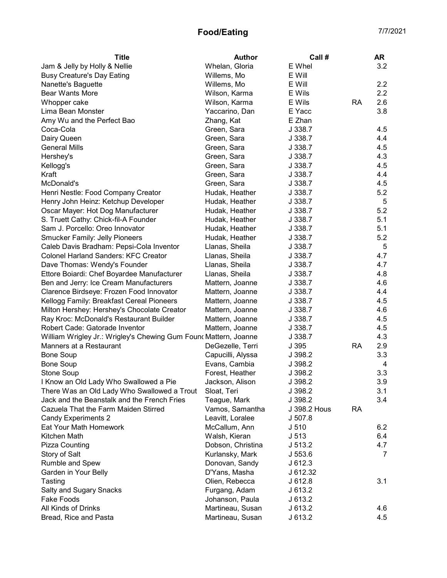| <b>Title</b>                                                     | <b>Author</b>     | Call#            |           | <b>AR</b>      |
|------------------------------------------------------------------|-------------------|------------------|-----------|----------------|
| Jam & Jelly by Holly & Nellie                                    | Whelan, Gloria    | E Whel           |           | 3.2            |
| <b>Busy Creature's Day Eating</b>                                | Willems, Mo       | E Will           |           |                |
| Nanette's Baguette                                               | Willems, Mo       | E Will           |           | 2.2            |
| <b>Bear Wants More</b>                                           | Wilson, Karma     | E Wils           |           | 2.2            |
| Whopper cake                                                     | Wilson, Karma     | E Wils           | <b>RA</b> | 2.6            |
| Lima Bean Monster                                                | Yaccarino, Dan    | E Yacc           |           | 3.8            |
| Amy Wu and the Perfect Bao                                       | Zhang, Kat        | E Zhan           |           |                |
| Coca-Cola                                                        | Green, Sara       | J 338.7          |           | 4.5            |
| Dairy Queen                                                      | Green, Sara       | J 338.7          |           | 4.4            |
| <b>General Mills</b>                                             | Green, Sara       | J 338.7          |           | 4.5            |
| Hershey's                                                        | Green, Sara       | J 338.7          |           | 4.3            |
| Kellogg's                                                        | Green, Sara       | J 338.7          |           | 4.5            |
| Kraft                                                            | Green, Sara       | J 338.7          |           | 4.4            |
| McDonald's                                                       | Green, Sara       | J 338.7          |           | 4.5            |
| Henri Nestle: Food Company Creator                               | Hudak, Heather    | J 338.7          |           | 5.2            |
| Henry John Heinz: Ketchup Developer                              | Hudak, Heather    | J 338.7          |           | 5              |
| Oscar Mayer: Hot Dog Manufacturer                                | Hudak, Heather    | J 338.7          |           | 5.2            |
| S. Truett Cathy: Chick-fil-A Founder                             | Hudak, Heather    | J 338.7          |           | 5.1            |
| Sam J. Porcello: Oreo Innovator                                  | Hudak, Heather    | J 338.7          |           | 5.1            |
| <b>Smucker Family: Jelly Pioneers</b>                            | Hudak, Heather    | J 338.7          |           | 5.2            |
| Caleb Davis Bradham: Pepsi-Cola Inventor                         | Llanas, Sheila    | J 338.7          |           | 5              |
| <b>Colonel Harland Sanders: KFC Creator</b>                      | Llanas, Sheila    | J 338.7          |           | 4.7            |
| Dave Thomas: Wendy's Founder                                     | Llanas, Sheila    | J 338.7          |           | 4.7            |
| Ettore Boiardi: Chef Boyardee Manufacturer                       | Llanas, Sheila    | J 338.7          |           | 4.8            |
| Ben and Jerry: Ice Cream Manufacturers                           | Mattern, Joanne   | J 338.7          |           | 4.6            |
| Clarence Birdseye: Frozen Food Innovator                         | Mattern, Joanne   | J 338.7          |           | 4.4            |
| Kellogg Family: Breakfast Cereal Pioneers                        | Mattern, Joanne   | J 338.7          |           | 4.5            |
| Milton Hershey: Hershey's Chocolate Creator                      | Mattern, Joanne   | J 338.7          |           | 4.6            |
| Ray Kroc: McDonald's Restaurant Builder                          | Mattern, Joanne   | J 338.7          |           | 4.5            |
| Robert Cade: Gatorade Inventor                                   | Mattern, Joanne   | J 338.7          |           | 4.5            |
| William Wrigley Jr.: Wrigley's Chewing Gum Founc Mattern, Joanne |                   | J 338.7          |           | 4.3            |
| Manners at a Restaurant                                          | DeGezelle, Terri  | J 395            | <b>RA</b> | 2.9            |
| <b>Bone Soup</b>                                                 | Capucilli, Alyssa | J 398.2          |           | 3.3            |
| <b>Bone Soup</b>                                                 | Evans, Cambia     | J 398.2          |           | 4              |
| Stone Soup                                                       | Forest, Heather   | J 398.2          |           | 3.3            |
| I Know an Old Lady Who Swallowed a Pie                           | Jackson, Alison   | J 398.2          |           | 3.9            |
| There Was an Old Lady Who Swallowed a Trout                      | Sloat, Teri       | J 398.2          |           | 3.1            |
| Jack and the Beanstalk and the French Fries                      | Teague, Mark      | J 398.2          |           | 3.4            |
| Cazuela That the Farm Maiden Stirred                             | Vamos, Samantha   | J 398.2 Hous     | <b>RA</b> |                |
| <b>Candy Experiments 2</b>                                       | Leavitt, Loralee  | J 507.8          |           |                |
| Eat Your Math Homework                                           | McCallum, Ann     | J <sub>510</sub> |           | 6.2            |
| Kitchen Math                                                     | Walsh, Kieran     | J <sub>513</sub> |           | 6.4            |
| Pizza Counting                                                   | Dobson, Christina | J 513.2          |           | 4.7            |
| Story of Salt                                                    | Kurlansky, Mark   | J 553.6          |           | $\overline{7}$ |
| Rumble and Spew                                                  | Donovan, Sandy    | J612.3           |           |                |
| Garden in Your Belly                                             | D'Yans, Masha     | J 612.32         |           |                |
| Tasting                                                          | Olien, Rebecca    | J612.8           |           | 3.1            |
| <b>Salty and Sugary Snacks</b>                                   | Furgang, Adam     | J 613.2          |           |                |
| <b>Fake Foods</b>                                                | Johanson, Paula   | J 613.2          |           |                |
| All Kinds of Drinks                                              | Martineau, Susan  | J 613.2          |           | 4.6            |
| Bread, Rice and Pasta                                            | Martineau, Susan  | J 613.2          |           | 4.5            |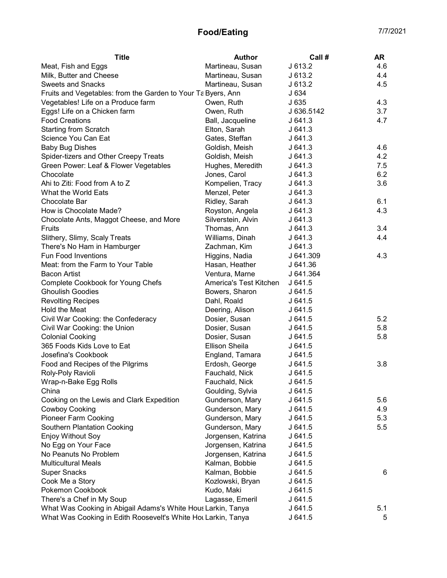| <b>Title</b>                                                  | <b>Author</b>          | Call #     | <b>AR</b> |
|---------------------------------------------------------------|------------------------|------------|-----------|
| Meat, Fish and Eggs                                           | Martineau, Susan       | J 613.2    | 4.6       |
| Milk, Butter and Cheese                                       | Martineau, Susan       | J613.2     | 4.4       |
| <b>Sweets and Snacks</b>                                      | Martineau, Susan       | J 613.2    | 4.5       |
| Fruits and Vegetables: from the Garden to Your Ta Byers, Ann  |                        | J634       |           |
| Vegetables! Life on a Produce farm                            | Owen, Ruth             | J 635      | 4.3       |
| Eggs! Life on a Chicken farm                                  | Owen, Ruth             | J 636.5142 | 3.7       |
| <b>Food Creations</b>                                         | Ball, Jacqueline       | J641.3     | 4.7       |
| <b>Starting from Scratch</b>                                  | Elton, Sarah           | J641.3     |           |
| Science You Can Eat                                           | Gates, Steffan         | J641.3     |           |
| <b>Baby Bug Dishes</b>                                        | Goldish, Meish         | J641.3     | 4.6       |
| Spider-tizers and Other Creepy Treats                         | Goldish, Meish         | J641.3     | 4.2       |
| Green Power: Leaf & Flower Vegetables                         | Hughes, Meredith       | J641.3     | 7.5       |
| Chocolate                                                     | Jones, Carol           | J641.3     | 6.2       |
| Ahi to Ziti: Food from A to Z                                 | Kompelien, Tracy       | J641.3     | 3.6       |
| What the World Eats                                           | Menzel, Peter          | J641.3     |           |
| Chocolate Bar                                                 | Ridley, Sarah          | J641.3     | 6.1       |
| How is Chocolate Made?                                        | Royston, Angela        | J641.3     | 4.3       |
| Chocolate Ants, Maggot Cheese, and More                       | Silverstein, Alvin     | J641.3     |           |
| Fruits                                                        | Thomas, Ann            | J641.3     | 3.4       |
| Slithery, Slimy, Scaly Treats                                 | Williams, Dinah        | J641.3     | 4.4       |
| There's No Ham in Hamburger                                   | Zachman, Kim           | J641.3     |           |
| <b>Fun Food Inventions</b>                                    | Higgins, Nadia         | J 641.309  | 4.3       |
| Meat: from the Farm to Your Table                             | Hasan, Heather         | J 641.36   |           |
| <b>Bacon Artist</b>                                           | Ventura, Marne         | J 641.364  |           |
| Complete Cookbook for Young Chefs                             | America's Test Kitchen | J641.5     |           |
| <b>Ghoulish Goodies</b>                                       | Bowers, Sharon         | J641.5     |           |
| <b>Revolting Recipes</b>                                      | Dahl, Roald            | J641.5     |           |
| Hold the Meat                                                 | Deering, Alison        | J641.5     |           |
| Civil War Cooking: the Confederacy                            | Dosier, Susan          | J641.5     | 5.2       |
| Civil War Cooking: the Union                                  | Dosier, Susan          | J 641.5    | 5.8       |
| <b>Colonial Cooking</b>                                       | Dosier, Susan          | J641.5     | 5.8       |
| 365 Foods Kids Love to Eat                                    | <b>Ellison Sheila</b>  | J 641.5    |           |
| Josefina's Cookbook                                           | England, Tamara        | J641.5     |           |
| Food and Recipes of the Pilgrims                              | Erdosh, George         | J641.5     | 3.8       |
| Roly-Poly Ravioli                                             | Fauchald, Nick         | J641.5     |           |
| Wrap-n-Bake Egg Rolls                                         | Fauchald, Nick         | J 641.5    |           |
| China                                                         | Goulding, Sylvia       | J641.5     |           |
| Cooking on the Lewis and Clark Expedition                     | Gunderson, Mary        | J 641.5    | 5.6       |
| <b>Cowboy Cooking</b>                                         | Gunderson, Mary        | J641.5     | 4.9       |
| <b>Pioneer Farm Cooking</b>                                   | Gunderson, Mary        | J 641.5    | 5.3       |
| <b>Southern Plantation Cooking</b>                            | Gunderson, Mary        | J641.5     | 5.5       |
| <b>Enjoy Without Soy</b>                                      | Jorgensen, Katrina     | J641.5     |           |
| No Egg on Your Face                                           | Jorgensen, Katrina     | J641.5     |           |
| No Peanuts No Problem                                         | Jorgensen, Katrina     | J641.5     |           |
| <b>Multicultural Meals</b>                                    | Kalman, Bobbie         | J641.5     |           |
| <b>Super Snacks</b>                                           | Kalman, Bobbie         | J641.5     | 6         |
| Cook Me a Story                                               | Kozlowski, Bryan       | J641.5     |           |
| Pokemon Cookbook                                              | Kudo, Maki             | J641.5     |           |
| There's a Chef in My Soup                                     | Lagasse, Emeril        | J641.5     |           |
| What Was Cooking in Abigail Adams's White Hous Larkin, Tanya  |                        | J 641.5    | 5.1       |
| What Was Cooking in Edith Roosevelt's White Hot Larkin, Tanya |                        | J 641.5    | 5         |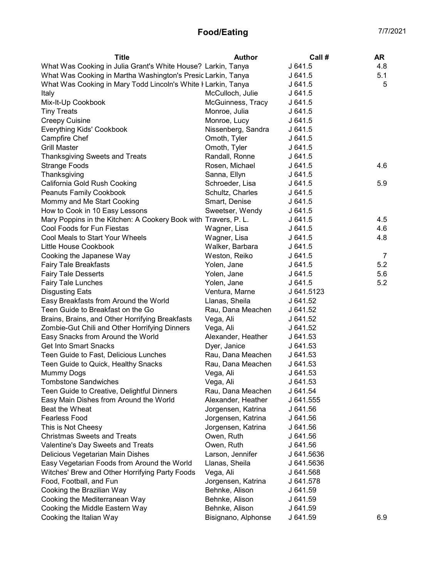| <b>Title</b>                                                    | <b>Author</b>       | Call #     | <b>AR</b> |
|-----------------------------------------------------------------|---------------------|------------|-----------|
| What Was Cooking in Julia Grant's White House? Larkin, Tanya    |                     | J 641.5    | 4.8       |
| What Was Cooking in Martha Washington's Presid Larkin, Tanya    |                     | J641.5     | 5.1       |
| What Was Cooking in Mary Todd Lincoln's White I Larkin, Tanya   |                     | J 641.5    | 5         |
| Italy                                                           | McCulloch, Julie    | J 641.5    |           |
| Mix-It-Up Cookbook                                              | McGuinness, Tracy   | J641.5     |           |
| <b>Tiny Treats</b>                                              | Monroe, Julia       | J641.5     |           |
| <b>Creepy Cuisine</b>                                           | Monroe, Lucy        | J641.5     |           |
| <b>Everything Kids' Cookbook</b>                                | Nissenberg, Sandra  | J641.5     |           |
| Campfire Chef                                                   | Omoth, Tyler        | J641.5     |           |
| <b>Grill Master</b>                                             | Omoth, Tyler        | J641.5     |           |
| <b>Thanksgiving Sweets and Treats</b>                           | Randall, Ronne      | J641.5     |           |
| <b>Strange Foods</b>                                            | Rosen, Michael      | J641.5     | 4.6       |
| Thanksgiving                                                    | Sanna, Ellyn        | J641.5     |           |
| California Gold Rush Cooking                                    | Schroeder, Lisa     | J641.5     | 5.9       |
| Peanuts Family Cookbook                                         | Schultz, Charles    | J641.5     |           |
| Mommy and Me Start Cooking                                      | Smart, Denise       | J641.5     |           |
| How to Cook in 10 Easy Lessons                                  | Sweetser, Wendy     | J641.5     |           |
| Mary Poppins in the Kitchen: A Cookery Book with Travers, P. L. |                     | J641.5     | 4.5       |
| Cool Foods for Fun Fiestas                                      | Wagner, Lisa        | J641.5     | 4.6       |
| Cool Meals to Start Your Wheels                                 | Wagner, Lisa        | J641.5     | 4.8       |
| Little House Cookbook                                           | Walker, Barbara     | J641.5     |           |
| Cooking the Japanese Way                                        | Weston, Reiko       | J641.5     | 7         |
| <b>Fairy Tale Breakfasts</b>                                    | Yolen, Jane         | J641.5     | 5.2       |
| <b>Fairy Tale Desserts</b>                                      | Yolen, Jane         | J 641.5    | 5.6       |
| Fairy Tale Lunches                                              | Yolen, Jane         | J641.5     | 5.2       |
| <b>Disgusting Eats</b>                                          | Ventura, Marne      | J 641.5123 |           |
| Easy Breakfasts from Around the World                           | Llanas, Sheila      | J 641.52   |           |
| Teen Guide to Breakfast on the Go                               | Rau, Dana Meachen   | J 641.52   |           |
| Brains, Brains, and Other Horrifying Breakfasts                 | Vega, Ali           | J 641.52   |           |
| Zombie-Gut Chili and Other Horrifying Dinners                   | Vega, Ali           | J 641.52   |           |
| Easy Snacks from Around the World                               | Alexander, Heather  | J 641.53   |           |
| <b>Get Into Smart Snacks</b>                                    | Dyer, Janice        | J 641.53   |           |
| Teen Guide to Fast, Delicious Lunches                           | Rau, Dana Meachen   | J 641.53   |           |
| Teen Guide to Quick, Healthy Snacks                             | Rau, Dana Meachen   | J 641.53   |           |
| Mummy Dogs                                                      | Vega, Ali           | J 641.53   |           |
| <b>Tombstone Sandwiches</b>                                     | Vega, Ali           | J 641.53   |           |
| Teen Guide to Creative, Delightful Dinners                      | Rau, Dana Meachen   | J 641.54   |           |
| Easy Main Dishes from Around the World                          | Alexander, Heather  | J 641.555  |           |
| Beat the Wheat                                                  | Jorgensen, Katrina  | J 641.56   |           |
| <b>Fearless Food</b>                                            | Jorgensen, Katrina  | J 641.56   |           |
| This is Not Cheesy                                              | Jorgensen, Katrina  | J 641.56   |           |
| <b>Christmas Sweets and Treats</b>                              | Owen, Ruth          | J 641.56   |           |
| Valentine's Day Sweets and Treats                               | Owen, Ruth          | J 641.56   |           |
| Delicious Vegetarian Main Dishes                                | Larson, Jennifer    | J 641.5636 |           |
| Easy Vegetarian Foods from Around the World                     | Llanas, Sheila      | J 641.5636 |           |
| Witches' Brew and Other Horrifying Party Foods                  | Vega, Ali           | J 641.568  |           |
| Food, Football, and Fun                                         | Jorgensen, Katrina  | J 641.578  |           |
| Cooking the Brazilian Way                                       | Behnke, Alison      | J 641.59   |           |
| Cooking the Mediterranean Way                                   | Behnke, Alison      | J 641.59   |           |
| Cooking the Middle Eastern Way                                  | Behnke, Alison      | J 641.59   |           |
| Cooking the Italian Way                                         | Bisignano, Alphonse | J 641.59   | 6.9       |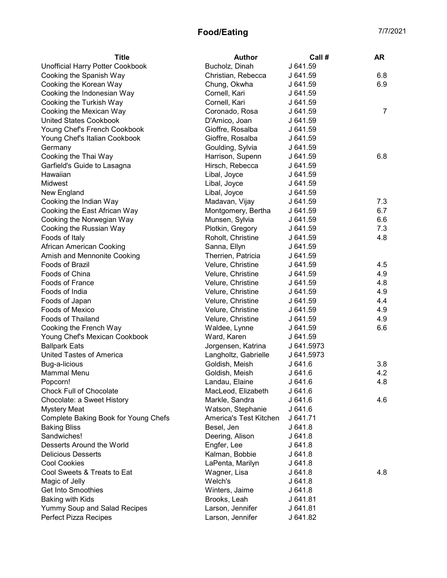| <b>Title</b>                         | <b>Author</b>          | Call #     | <b>AR</b> |
|--------------------------------------|------------------------|------------|-----------|
| Unofficial Harry Potter Cookbook     | Bucholz, Dinah         | J 641.59   |           |
| Cooking the Spanish Way              | Christian, Rebecca     | J 641.59   | 6.8       |
| Cooking the Korean Way               | Chung, Okwha           | J 641.59   | 6.9       |
| Cooking the Indonesian Way           | Cornell, Kari          | J 641.59   |           |
| Cooking the Turkish Way              | Cornell, Kari          | J 641.59   |           |
| Cooking the Mexican Way              | Coronado, Rosa         | J 641.59   | 7         |
| <b>United States Cookbook</b>        | D'Amico, Joan          | J 641.59   |           |
| Young Chef's French Cookbook         | Gioffre, Rosalba       | J 641.59   |           |
| Young Chef's Italian Cookbook        | Gioffre, Rosalba       | J 641.59   |           |
| Germany                              | Goulding, Sylvia       | J 641.59   |           |
| Cooking the Thai Way                 | Harrison, Supenn       | J 641.59   | 6.8       |
| Garfield's Guide to Lasagna          | Hirsch, Rebecca        | J 641.59   |           |
| Hawaiian                             | Libal, Joyce           | J 641.59   |           |
| Midwest                              | Libal, Joyce           | J 641.59   |           |
| New England                          | Libal, Joyce           | J 641.59   |           |
| Cooking the Indian Way               | Madavan, Vijay         | J 641.59   | 7.3       |
| Cooking the East African Way         | Montgomery, Bertha     | J 641.59   | 6.7       |
| Cooking the Norwegian Way            | Munsen, Sylvia         | J 641.59   | 6.6       |
| Cooking the Russian Way              | Plotkin, Gregory       | J 641.59   | 7.3       |
| Foods of Italy                       | Roholt, Christine      | J 641.59   | 4.8       |
| African American Cooking             | Sanna, Ellyn           | J 641.59   |           |
| Amish and Mennonite Cooking          | Therrien, Patricia     | J 641.59   |           |
| Foods of Brazil                      | Velure, Christine      | J 641.59   | 4.5       |
| Foods of China                       | Velure, Christine      | J 641.59   | 4.9       |
| <b>Foods of France</b>               | Velure, Christine      | J 641.59   | 4.8       |
| Foods of India                       | Velure, Christine      | J 641.59   | 4.9       |
| Foods of Japan                       | Velure, Christine      | J 641.59   | 4.4       |
| Foods of Mexico                      | Velure, Christine      | J 641.59   | 4.9       |
| Foods of Thailand                    | Velure, Christine      | J 641.59   | 4.9       |
| Cooking the French Way               | Waldee, Lynne          | J 641.59   | 6.6       |
| Young Chef's Mexican Cookbook        | Ward, Karen            | J 641.59   |           |
| <b>Ballpark Eats</b>                 | Jorgensen, Katrina     | J 641.5973 |           |
| United Tastes of America             | Langholtz, Gabrielle   | J 641.5973 |           |
| Bug-a-licious                        | Goldish, Meish         | J 641.6    | 3.8       |
| <b>Mammal Menu</b>                   | Goldish, Meish         | J641.6     | 4.2       |
| Popcorn!                             | Landau, Elaine         | J 641.6    | 4.8       |
| <b>Chock Full of Chocolate</b>       | MacLeod, Elizabeth     | J641.6     |           |
| Chocolate: a Sweet History           | Markle, Sandra         | J 641.6    | 4.6       |
| <b>Mystery Meat</b>                  | Watson, Stephanie      | J 641.6    |           |
| Complete Baking Book for Young Chefs | America's Test Kitchen | J 641.71   |           |
| <b>Baking Bliss</b>                  | Besel, Jen             | J 641.8    |           |
| Sandwiches!                          | Deering, Alison        | J641.8     |           |
| Desserts Around the World            | Engfer, Lee            | J 641.8    |           |
| <b>Delicious Desserts</b>            | Kalman, Bobbie         | J641.8     |           |
| <b>Cool Cookies</b>                  | LaPenta, Marilyn       | J641.8     |           |
| Cool Sweets & Treats to Eat          | Wagner, Lisa           | J 641.8    | 4.8       |
| Magic of Jelly                       | Welch's                | J641.8     |           |
| <b>Get Into Smoothies</b>            | Winters, Jaime         | J641.8     |           |
| Baking with Kids                     | Brooks, Leah           | J 641.81   |           |
| Yummy Soup and Salad Recipes         | Larson, Jennifer       | J 641.81   |           |
| <b>Perfect Pizza Recipes</b>         | Larson, Jennifer       | J 641.82   |           |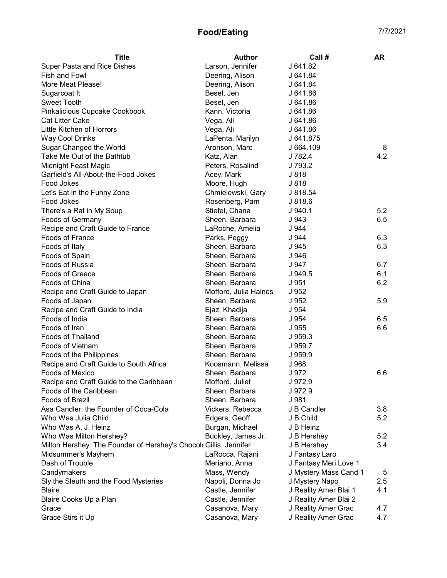| <b>Title</b>                                                      | <b>Author</b>         | Call#                 | AR  |
|-------------------------------------------------------------------|-----------------------|-----------------------|-----|
| Super Pasta and Rice Dishes                                       | Larson, Jennifer      | J 641.82              |     |
| Fish and Fowl                                                     | Deering, Alison       | J 641.84              |     |
| More Meat Please!                                                 | Deering, Alison       | J 641.84              |     |
| Sugarcoat It                                                      | Besel, Jen            | J 641.86              |     |
| <b>Sweet Tooth</b>                                                | Besel, Jen            | J 641.86              |     |
| Pinkalicious Cupcake Cookbook                                     | Kann, Victoria        | J 641.86              |     |
| <b>Cat Litter Cake</b>                                            | Vega, Ali             | J 641.86              |     |
| Little Kitchen of Horrors                                         | Vega, Ali             | J 641.86              |     |
| <b>Way Cool Drinks</b>                                            | LaPenta, Marilyn      | J 641.875             |     |
| Sugar Changed the World                                           | Aronson, Marc         | J 664.109             | 8   |
| Take Me Out of the Bathtub                                        | Katz, Alan            | J 782.4               | 4.2 |
| Midnight Feast Magic                                              | Peters, Rosalind      | J 793.2               |     |
| Garfield's All-About-the-Food Jokes                               | Acey, Mark            | J 818                 |     |
| Food Jokes                                                        | Moore, Hugh           | J 818                 |     |
| Let's Eat in the Funny Zone                                       | Chmielewski, Gary     | J 818.54              |     |
| Food Jokes                                                        | Rosenberg, Pam        | J 818.6               |     |
| There's a Rat in My Soup                                          | Stiefel, Chana        | J.940.1               | 5.2 |
| Foods of Germany                                                  | Sheen, Barbara        | J 943                 | 6.5 |
| Recipe and Craft Guide to France                                  | LaRoche, Amelia       | J 944                 |     |
| <b>Foods of France</b>                                            | Parks, Peggy          | J 944                 | 6.3 |
| Foods of Italy                                                    | Sheen, Barbara        | J 945                 | 6.3 |
| Foods of Spain                                                    | Sheen, Barbara        | J 946                 |     |
| Foods of Russia                                                   | Sheen, Barbara        | J 947                 | 6.7 |
| Foods of Greece                                                   | Sheen, Barbara        | J 949.5               | 6.1 |
| Foods of China                                                    | Sheen, Barbara        | J 951                 | 6.2 |
| Recipe and Craft Guide to Japan                                   | Mofford, Julia Haines | J 952                 |     |
| Foods of Japan                                                    | Sheen, Barbara        | J 952                 | 5.9 |
| Recipe and Craft Guide to India                                   | Ejaz, Khadija         | J 954                 |     |
| Foods of India                                                    | Sheen, Barbara        | J 954                 | 6.5 |
| Foods of Iran                                                     | Sheen, Barbara        | J 955                 | 6.6 |
| <b>Foods of Thailand</b>                                          | Sheen, Barbara        | J 959.3               |     |
| Foods of Vietnam                                                  | Sheen, Barbara        | J 959.7               |     |
| Foods of the Philippines                                          | Sheen, Barbara        | J 959.9               |     |
| Recipe and Craft Guide to South Africa                            | Koosmann, Melissa     | J 968                 |     |
| <b>Foods of Mexico</b>                                            | Sheen, Barbara        | J 972                 | 6.6 |
| Recipe and Craft Guide to the Caribbean                           | Mofford, Juliet       | J 972.9               |     |
| Foods of the Caribbean                                            | Sheen, Barbara        | J 972.9               |     |
| Foods of Brazil                                                   | Sheen, Barbara        | J 981                 |     |
| Asa Candler: the Founder of Coca-Cola                             | Vickers, Rebecca      | J B Candler           | 3.8 |
| Who Was Julia Child                                               | Edgers, Geoff         | J B Child             | 5.2 |
| Who Was A. J. Heinz                                               | Burgan, Michael       | J B Heinz             |     |
| Who Was Milton Hershey?                                           | Buckley, James Jr.    | J B Hershey           | 5.2 |
| Milton Hershey: The Founder of Hershey's Chocola Gillis, Jennifer |                       | J B Hershey           | 3.4 |
| Midsummer's Mayhem                                                | LaRocca, Rajani       | J Fantasy Laro        |     |
| Dash of Trouble                                                   | Meriano, Anna         | J Fantasy Meri Love 1 |     |
| Candymakers                                                       | Mass, Wendy           | J Mystery Mass Cand 1 | 5   |
| Sly the Sleuth and the Food Mysteries                             | Napoli, Donna Jo      | J Mystery Napo        | 2.5 |
| <b>Blaire</b>                                                     | Castle, Jennifer      | J Reality Amer Blai 1 | 4.1 |
| Blaire Cooks Up a Plan                                            | Castle, Jennifer      | J Reality Amer Blai 2 |     |
| Grace                                                             | Casanova, Mary        | J Reality Amer Grac   | 4.7 |
| Grace Stirs it Up                                                 | Casanova, Mary        | J Reality Amer Grac   | 4.7 |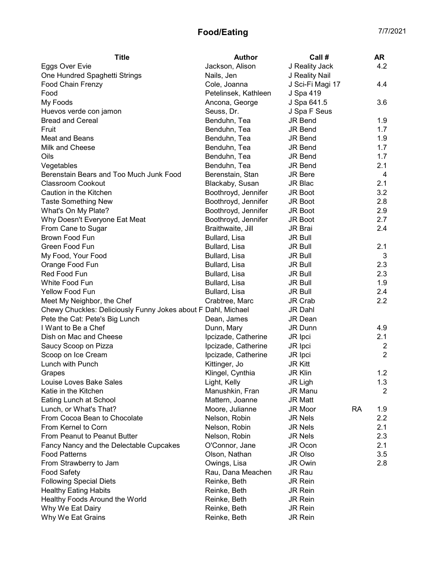| Jackson, Alison<br>J Reality Jack<br>4.2<br>Eggs Over Evie<br>One Hundred Spaghetti Strings<br>Nails, Jen<br>J Reality Nail<br>Cole, Joanna<br>J Sci-Fi Magi 17<br>4.4<br>J Spa 419<br>Food<br>Petelinsek, Kathleen<br>My Foods<br>Ancona, George<br>J Spa 641.5<br>3.6<br>Huevos verde con jamon<br>Seuss, Dr.<br>J Spa F Seus<br><b>Bread and Cereal</b><br>Benduhn, Tea<br><b>JR Bend</b><br>1.9<br><b>JR Bend</b><br>1.7<br>Fruit<br>Benduhn, Tea<br>1.9<br>Meat and Beans<br>Benduhn, Tea<br><b>JR Bend</b><br>Milk and Cheese<br>1.7<br>Benduhn, Tea<br><b>JR Bend</b><br>Oils<br>Benduhn, Tea<br><b>JR Bend</b><br>1.7<br>2.1<br>Vegetables<br>Benduhn, Tea<br><b>JR Bend</b><br>JR Bere<br>Berenstain Bears and Too Much Junk Food<br>Berenstain, Stan<br>4<br><b>Classroom Cookout</b><br>2.1<br>Blackaby, Susan<br>JR Blac<br>Boothroyd, Jennifer<br>3.2<br>Caution in the Kitchen<br>JR Boot<br>Boothroyd, Jennifer<br>2.8<br><b>Taste Something New</b><br>JR Boot<br>What's On My Plate?<br>Boothroyd, Jennifer<br>2.9<br><b>JR Boot</b><br>Boothroyd, Jennifer<br>2.7<br>Why Doesn't Everyone Eat Meat<br><b>JR Boot</b><br>2.4<br>Braithwaite, Jill<br>From Cane to Sugar<br><b>JR Brai</b><br>Brown Food Fun<br>Bullard, Lisa<br><b>JR Bull</b><br>Green Food Fun<br>2.1<br>Bullard, Lisa<br><b>JR Bull</b><br>My Food, Your Food<br>3<br>Bullard, Lisa<br><b>JR Bull</b><br>2.3<br>Orange Food Fun<br>Bullard, Lisa<br><b>JR Bull</b><br>Red Food Fun<br>2.3<br>Bullard, Lisa<br><b>JR Bull</b><br>White Food Fun<br>1.9<br>Bullard, Lisa<br><b>JR Bull</b><br>Yellow Food Fun<br>2.4<br>Bullard, Lisa<br>JR Bull<br>2.2<br>Meet My Neighbor, the Chef<br>Crabtree, Marc<br>JR Crab<br>Chewy Chuckles: Deliciously Funny Jokes about F Dahl, Michael<br>JR Dahl<br>Pete the Cat: Pete's Big Lunch<br>Dean, James<br><b>JR Dean</b><br>I Want to Be a Chef<br>4.9<br>Dunn, Mary<br>JR Dunn<br>2.1<br>Dish on Mac and Cheese<br>Ipcizade, Catherine<br>JR Ipci<br>Ipcizade, Catherine<br>Saucy Scoop on Pizza<br>JR Ipci<br>2<br>$\overline{2}$<br>Scoop on Ice Cream<br>Ipcizade, Catherine<br>JR Ipci<br>Lunch with Punch<br>Kittinger, Jo<br><b>JR Kitt</b><br>Klingel, Cynthia<br><b>JR Klin</b><br>1.2<br>Grapes<br>1.3<br>Louise Loves Bake Sales<br>Light, Kelly<br>JR Ligh<br>Katie in the Kitchen<br>Manushkin, Fran<br>JR Manu<br>2<br>Eating Lunch at School<br>Mattern, Joanne<br><b>JR Matt</b><br><b>RA</b><br>1.9<br>Lunch, or What's That?<br>Moore, Julianne<br>JR Moor<br>From Cocoa Bean to Chocolate<br>2.2<br>Nelson, Robin<br><b>JR Nels</b><br>From Kernel to Corn<br>2.1<br>Nelson, Robin<br><b>JR Nels</b><br>From Peanut to Peanut Butter<br>2.3<br>Nelson, Robin<br><b>JR Nels</b><br>Fancy Nancy and the Delectable Cupcakes<br>O'Connor, Jane<br>2.1<br>JR Ocon<br>Olson, Nathan<br>3.5<br><b>Food Patterns</b><br>JR Olso<br>Owings, Lisa<br>2.8<br>From Strawberry to Jam<br><b>JR Owin</b><br>Rau, Dana Meachen<br><b>Food Safety</b><br><b>JR Rau</b><br><b>Following Special Diets</b><br>Reinke, Beth<br><b>JR Rein</b><br><b>Healthy Eating Habits</b><br>Reinke, Beth<br><b>JR Rein</b><br>Healthy Foods Around the World<br>Reinke, Beth<br><b>JR Rein</b><br>Why We Eat Dairy<br>Reinke, Beth<br>JR Rein<br>Why We Eat Grains<br>Reinke, Beth<br><b>JR Rein</b> | <b>Title</b>      | <b>Author</b> | Call # | AR |
|-----------------------------------------------------------------------------------------------------------------------------------------------------------------------------------------------------------------------------------------------------------------------------------------------------------------------------------------------------------------------------------------------------------------------------------------------------------------------------------------------------------------------------------------------------------------------------------------------------------------------------------------------------------------------------------------------------------------------------------------------------------------------------------------------------------------------------------------------------------------------------------------------------------------------------------------------------------------------------------------------------------------------------------------------------------------------------------------------------------------------------------------------------------------------------------------------------------------------------------------------------------------------------------------------------------------------------------------------------------------------------------------------------------------------------------------------------------------------------------------------------------------------------------------------------------------------------------------------------------------------------------------------------------------------------------------------------------------------------------------------------------------------------------------------------------------------------------------------------------------------------------------------------------------------------------------------------------------------------------------------------------------------------------------------------------------------------------------------------------------------------------------------------------------------------------------------------------------------------------------------------------------------------------------------------------------------------------------------------------------------------------------------------------------------------------------------------------------------------------------------------------------------------------------------------------------------------------------------------------------------------------------------------------------------------------------------------------------------------------------------------------------------------------------------------------------------------------------------------------------------------------------------------------------------------------------------------------------------------------------------------------------------------------------------------------------------------------------------------------------------------------------------------------------------------------------------------------------------------------------------------------------------------------------------------------------------|-------------------|---------------|--------|----|
|                                                                                                                                                                                                                                                                                                                                                                                                                                                                                                                                                                                                                                                                                                                                                                                                                                                                                                                                                                                                                                                                                                                                                                                                                                                                                                                                                                                                                                                                                                                                                                                                                                                                                                                                                                                                                                                                                                                                                                                                                                                                                                                                                                                                                                                                                                                                                                                                                                                                                                                                                                                                                                                                                                                                                                                                                                                                                                                                                                                                                                                                                                                                                                                                                                                                                                                       |                   |               |        |    |
|                                                                                                                                                                                                                                                                                                                                                                                                                                                                                                                                                                                                                                                                                                                                                                                                                                                                                                                                                                                                                                                                                                                                                                                                                                                                                                                                                                                                                                                                                                                                                                                                                                                                                                                                                                                                                                                                                                                                                                                                                                                                                                                                                                                                                                                                                                                                                                                                                                                                                                                                                                                                                                                                                                                                                                                                                                                                                                                                                                                                                                                                                                                                                                                                                                                                                                                       |                   |               |        |    |
|                                                                                                                                                                                                                                                                                                                                                                                                                                                                                                                                                                                                                                                                                                                                                                                                                                                                                                                                                                                                                                                                                                                                                                                                                                                                                                                                                                                                                                                                                                                                                                                                                                                                                                                                                                                                                                                                                                                                                                                                                                                                                                                                                                                                                                                                                                                                                                                                                                                                                                                                                                                                                                                                                                                                                                                                                                                                                                                                                                                                                                                                                                                                                                                                                                                                                                                       | Food Chain Frenzy |               |        |    |
|                                                                                                                                                                                                                                                                                                                                                                                                                                                                                                                                                                                                                                                                                                                                                                                                                                                                                                                                                                                                                                                                                                                                                                                                                                                                                                                                                                                                                                                                                                                                                                                                                                                                                                                                                                                                                                                                                                                                                                                                                                                                                                                                                                                                                                                                                                                                                                                                                                                                                                                                                                                                                                                                                                                                                                                                                                                                                                                                                                                                                                                                                                                                                                                                                                                                                                                       |                   |               |        |    |
|                                                                                                                                                                                                                                                                                                                                                                                                                                                                                                                                                                                                                                                                                                                                                                                                                                                                                                                                                                                                                                                                                                                                                                                                                                                                                                                                                                                                                                                                                                                                                                                                                                                                                                                                                                                                                                                                                                                                                                                                                                                                                                                                                                                                                                                                                                                                                                                                                                                                                                                                                                                                                                                                                                                                                                                                                                                                                                                                                                                                                                                                                                                                                                                                                                                                                                                       |                   |               |        |    |
|                                                                                                                                                                                                                                                                                                                                                                                                                                                                                                                                                                                                                                                                                                                                                                                                                                                                                                                                                                                                                                                                                                                                                                                                                                                                                                                                                                                                                                                                                                                                                                                                                                                                                                                                                                                                                                                                                                                                                                                                                                                                                                                                                                                                                                                                                                                                                                                                                                                                                                                                                                                                                                                                                                                                                                                                                                                                                                                                                                                                                                                                                                                                                                                                                                                                                                                       |                   |               |        |    |
|                                                                                                                                                                                                                                                                                                                                                                                                                                                                                                                                                                                                                                                                                                                                                                                                                                                                                                                                                                                                                                                                                                                                                                                                                                                                                                                                                                                                                                                                                                                                                                                                                                                                                                                                                                                                                                                                                                                                                                                                                                                                                                                                                                                                                                                                                                                                                                                                                                                                                                                                                                                                                                                                                                                                                                                                                                                                                                                                                                                                                                                                                                                                                                                                                                                                                                                       |                   |               |        |    |
|                                                                                                                                                                                                                                                                                                                                                                                                                                                                                                                                                                                                                                                                                                                                                                                                                                                                                                                                                                                                                                                                                                                                                                                                                                                                                                                                                                                                                                                                                                                                                                                                                                                                                                                                                                                                                                                                                                                                                                                                                                                                                                                                                                                                                                                                                                                                                                                                                                                                                                                                                                                                                                                                                                                                                                                                                                                                                                                                                                                                                                                                                                                                                                                                                                                                                                                       |                   |               |        |    |
|                                                                                                                                                                                                                                                                                                                                                                                                                                                                                                                                                                                                                                                                                                                                                                                                                                                                                                                                                                                                                                                                                                                                                                                                                                                                                                                                                                                                                                                                                                                                                                                                                                                                                                                                                                                                                                                                                                                                                                                                                                                                                                                                                                                                                                                                                                                                                                                                                                                                                                                                                                                                                                                                                                                                                                                                                                                                                                                                                                                                                                                                                                                                                                                                                                                                                                                       |                   |               |        |    |
|                                                                                                                                                                                                                                                                                                                                                                                                                                                                                                                                                                                                                                                                                                                                                                                                                                                                                                                                                                                                                                                                                                                                                                                                                                                                                                                                                                                                                                                                                                                                                                                                                                                                                                                                                                                                                                                                                                                                                                                                                                                                                                                                                                                                                                                                                                                                                                                                                                                                                                                                                                                                                                                                                                                                                                                                                                                                                                                                                                                                                                                                                                                                                                                                                                                                                                                       |                   |               |        |    |
|                                                                                                                                                                                                                                                                                                                                                                                                                                                                                                                                                                                                                                                                                                                                                                                                                                                                                                                                                                                                                                                                                                                                                                                                                                                                                                                                                                                                                                                                                                                                                                                                                                                                                                                                                                                                                                                                                                                                                                                                                                                                                                                                                                                                                                                                                                                                                                                                                                                                                                                                                                                                                                                                                                                                                                                                                                                                                                                                                                                                                                                                                                                                                                                                                                                                                                                       |                   |               |        |    |
|                                                                                                                                                                                                                                                                                                                                                                                                                                                                                                                                                                                                                                                                                                                                                                                                                                                                                                                                                                                                                                                                                                                                                                                                                                                                                                                                                                                                                                                                                                                                                                                                                                                                                                                                                                                                                                                                                                                                                                                                                                                                                                                                                                                                                                                                                                                                                                                                                                                                                                                                                                                                                                                                                                                                                                                                                                                                                                                                                                                                                                                                                                                                                                                                                                                                                                                       |                   |               |        |    |
|                                                                                                                                                                                                                                                                                                                                                                                                                                                                                                                                                                                                                                                                                                                                                                                                                                                                                                                                                                                                                                                                                                                                                                                                                                                                                                                                                                                                                                                                                                                                                                                                                                                                                                                                                                                                                                                                                                                                                                                                                                                                                                                                                                                                                                                                                                                                                                                                                                                                                                                                                                                                                                                                                                                                                                                                                                                                                                                                                                                                                                                                                                                                                                                                                                                                                                                       |                   |               |        |    |
|                                                                                                                                                                                                                                                                                                                                                                                                                                                                                                                                                                                                                                                                                                                                                                                                                                                                                                                                                                                                                                                                                                                                                                                                                                                                                                                                                                                                                                                                                                                                                                                                                                                                                                                                                                                                                                                                                                                                                                                                                                                                                                                                                                                                                                                                                                                                                                                                                                                                                                                                                                                                                                                                                                                                                                                                                                                                                                                                                                                                                                                                                                                                                                                                                                                                                                                       |                   |               |        |    |
|                                                                                                                                                                                                                                                                                                                                                                                                                                                                                                                                                                                                                                                                                                                                                                                                                                                                                                                                                                                                                                                                                                                                                                                                                                                                                                                                                                                                                                                                                                                                                                                                                                                                                                                                                                                                                                                                                                                                                                                                                                                                                                                                                                                                                                                                                                                                                                                                                                                                                                                                                                                                                                                                                                                                                                                                                                                                                                                                                                                                                                                                                                                                                                                                                                                                                                                       |                   |               |        |    |
|                                                                                                                                                                                                                                                                                                                                                                                                                                                                                                                                                                                                                                                                                                                                                                                                                                                                                                                                                                                                                                                                                                                                                                                                                                                                                                                                                                                                                                                                                                                                                                                                                                                                                                                                                                                                                                                                                                                                                                                                                                                                                                                                                                                                                                                                                                                                                                                                                                                                                                                                                                                                                                                                                                                                                                                                                                                                                                                                                                                                                                                                                                                                                                                                                                                                                                                       |                   |               |        |    |
|                                                                                                                                                                                                                                                                                                                                                                                                                                                                                                                                                                                                                                                                                                                                                                                                                                                                                                                                                                                                                                                                                                                                                                                                                                                                                                                                                                                                                                                                                                                                                                                                                                                                                                                                                                                                                                                                                                                                                                                                                                                                                                                                                                                                                                                                                                                                                                                                                                                                                                                                                                                                                                                                                                                                                                                                                                                                                                                                                                                                                                                                                                                                                                                                                                                                                                                       |                   |               |        |    |
|                                                                                                                                                                                                                                                                                                                                                                                                                                                                                                                                                                                                                                                                                                                                                                                                                                                                                                                                                                                                                                                                                                                                                                                                                                                                                                                                                                                                                                                                                                                                                                                                                                                                                                                                                                                                                                                                                                                                                                                                                                                                                                                                                                                                                                                                                                                                                                                                                                                                                                                                                                                                                                                                                                                                                                                                                                                                                                                                                                                                                                                                                                                                                                                                                                                                                                                       |                   |               |        |    |
|                                                                                                                                                                                                                                                                                                                                                                                                                                                                                                                                                                                                                                                                                                                                                                                                                                                                                                                                                                                                                                                                                                                                                                                                                                                                                                                                                                                                                                                                                                                                                                                                                                                                                                                                                                                                                                                                                                                                                                                                                                                                                                                                                                                                                                                                                                                                                                                                                                                                                                                                                                                                                                                                                                                                                                                                                                                                                                                                                                                                                                                                                                                                                                                                                                                                                                                       |                   |               |        |    |
|                                                                                                                                                                                                                                                                                                                                                                                                                                                                                                                                                                                                                                                                                                                                                                                                                                                                                                                                                                                                                                                                                                                                                                                                                                                                                                                                                                                                                                                                                                                                                                                                                                                                                                                                                                                                                                                                                                                                                                                                                                                                                                                                                                                                                                                                                                                                                                                                                                                                                                                                                                                                                                                                                                                                                                                                                                                                                                                                                                                                                                                                                                                                                                                                                                                                                                                       |                   |               |        |    |
|                                                                                                                                                                                                                                                                                                                                                                                                                                                                                                                                                                                                                                                                                                                                                                                                                                                                                                                                                                                                                                                                                                                                                                                                                                                                                                                                                                                                                                                                                                                                                                                                                                                                                                                                                                                                                                                                                                                                                                                                                                                                                                                                                                                                                                                                                                                                                                                                                                                                                                                                                                                                                                                                                                                                                                                                                                                                                                                                                                                                                                                                                                                                                                                                                                                                                                                       |                   |               |        |    |
|                                                                                                                                                                                                                                                                                                                                                                                                                                                                                                                                                                                                                                                                                                                                                                                                                                                                                                                                                                                                                                                                                                                                                                                                                                                                                                                                                                                                                                                                                                                                                                                                                                                                                                                                                                                                                                                                                                                                                                                                                                                                                                                                                                                                                                                                                                                                                                                                                                                                                                                                                                                                                                                                                                                                                                                                                                                                                                                                                                                                                                                                                                                                                                                                                                                                                                                       |                   |               |        |    |
|                                                                                                                                                                                                                                                                                                                                                                                                                                                                                                                                                                                                                                                                                                                                                                                                                                                                                                                                                                                                                                                                                                                                                                                                                                                                                                                                                                                                                                                                                                                                                                                                                                                                                                                                                                                                                                                                                                                                                                                                                                                                                                                                                                                                                                                                                                                                                                                                                                                                                                                                                                                                                                                                                                                                                                                                                                                                                                                                                                                                                                                                                                                                                                                                                                                                                                                       |                   |               |        |    |
|                                                                                                                                                                                                                                                                                                                                                                                                                                                                                                                                                                                                                                                                                                                                                                                                                                                                                                                                                                                                                                                                                                                                                                                                                                                                                                                                                                                                                                                                                                                                                                                                                                                                                                                                                                                                                                                                                                                                                                                                                                                                                                                                                                                                                                                                                                                                                                                                                                                                                                                                                                                                                                                                                                                                                                                                                                                                                                                                                                                                                                                                                                                                                                                                                                                                                                                       |                   |               |        |    |
|                                                                                                                                                                                                                                                                                                                                                                                                                                                                                                                                                                                                                                                                                                                                                                                                                                                                                                                                                                                                                                                                                                                                                                                                                                                                                                                                                                                                                                                                                                                                                                                                                                                                                                                                                                                                                                                                                                                                                                                                                                                                                                                                                                                                                                                                                                                                                                                                                                                                                                                                                                                                                                                                                                                                                                                                                                                                                                                                                                                                                                                                                                                                                                                                                                                                                                                       |                   |               |        |    |
|                                                                                                                                                                                                                                                                                                                                                                                                                                                                                                                                                                                                                                                                                                                                                                                                                                                                                                                                                                                                                                                                                                                                                                                                                                                                                                                                                                                                                                                                                                                                                                                                                                                                                                                                                                                                                                                                                                                                                                                                                                                                                                                                                                                                                                                                                                                                                                                                                                                                                                                                                                                                                                                                                                                                                                                                                                                                                                                                                                                                                                                                                                                                                                                                                                                                                                                       |                   |               |        |    |
|                                                                                                                                                                                                                                                                                                                                                                                                                                                                                                                                                                                                                                                                                                                                                                                                                                                                                                                                                                                                                                                                                                                                                                                                                                                                                                                                                                                                                                                                                                                                                                                                                                                                                                                                                                                                                                                                                                                                                                                                                                                                                                                                                                                                                                                                                                                                                                                                                                                                                                                                                                                                                                                                                                                                                                                                                                                                                                                                                                                                                                                                                                                                                                                                                                                                                                                       |                   |               |        |    |
|                                                                                                                                                                                                                                                                                                                                                                                                                                                                                                                                                                                                                                                                                                                                                                                                                                                                                                                                                                                                                                                                                                                                                                                                                                                                                                                                                                                                                                                                                                                                                                                                                                                                                                                                                                                                                                                                                                                                                                                                                                                                                                                                                                                                                                                                                                                                                                                                                                                                                                                                                                                                                                                                                                                                                                                                                                                                                                                                                                                                                                                                                                                                                                                                                                                                                                                       |                   |               |        |    |
|                                                                                                                                                                                                                                                                                                                                                                                                                                                                                                                                                                                                                                                                                                                                                                                                                                                                                                                                                                                                                                                                                                                                                                                                                                                                                                                                                                                                                                                                                                                                                                                                                                                                                                                                                                                                                                                                                                                                                                                                                                                                                                                                                                                                                                                                                                                                                                                                                                                                                                                                                                                                                                                                                                                                                                                                                                                                                                                                                                                                                                                                                                                                                                                                                                                                                                                       |                   |               |        |    |
|                                                                                                                                                                                                                                                                                                                                                                                                                                                                                                                                                                                                                                                                                                                                                                                                                                                                                                                                                                                                                                                                                                                                                                                                                                                                                                                                                                                                                                                                                                                                                                                                                                                                                                                                                                                                                                                                                                                                                                                                                                                                                                                                                                                                                                                                                                                                                                                                                                                                                                                                                                                                                                                                                                                                                                                                                                                                                                                                                                                                                                                                                                                                                                                                                                                                                                                       |                   |               |        |    |
|                                                                                                                                                                                                                                                                                                                                                                                                                                                                                                                                                                                                                                                                                                                                                                                                                                                                                                                                                                                                                                                                                                                                                                                                                                                                                                                                                                                                                                                                                                                                                                                                                                                                                                                                                                                                                                                                                                                                                                                                                                                                                                                                                                                                                                                                                                                                                                                                                                                                                                                                                                                                                                                                                                                                                                                                                                                                                                                                                                                                                                                                                                                                                                                                                                                                                                                       |                   |               |        |    |
|                                                                                                                                                                                                                                                                                                                                                                                                                                                                                                                                                                                                                                                                                                                                                                                                                                                                                                                                                                                                                                                                                                                                                                                                                                                                                                                                                                                                                                                                                                                                                                                                                                                                                                                                                                                                                                                                                                                                                                                                                                                                                                                                                                                                                                                                                                                                                                                                                                                                                                                                                                                                                                                                                                                                                                                                                                                                                                                                                                                                                                                                                                                                                                                                                                                                                                                       |                   |               |        |    |
|                                                                                                                                                                                                                                                                                                                                                                                                                                                                                                                                                                                                                                                                                                                                                                                                                                                                                                                                                                                                                                                                                                                                                                                                                                                                                                                                                                                                                                                                                                                                                                                                                                                                                                                                                                                                                                                                                                                                                                                                                                                                                                                                                                                                                                                                                                                                                                                                                                                                                                                                                                                                                                                                                                                                                                                                                                                                                                                                                                                                                                                                                                                                                                                                                                                                                                                       |                   |               |        |    |
|                                                                                                                                                                                                                                                                                                                                                                                                                                                                                                                                                                                                                                                                                                                                                                                                                                                                                                                                                                                                                                                                                                                                                                                                                                                                                                                                                                                                                                                                                                                                                                                                                                                                                                                                                                                                                                                                                                                                                                                                                                                                                                                                                                                                                                                                                                                                                                                                                                                                                                                                                                                                                                                                                                                                                                                                                                                                                                                                                                                                                                                                                                                                                                                                                                                                                                                       |                   |               |        |    |
|                                                                                                                                                                                                                                                                                                                                                                                                                                                                                                                                                                                                                                                                                                                                                                                                                                                                                                                                                                                                                                                                                                                                                                                                                                                                                                                                                                                                                                                                                                                                                                                                                                                                                                                                                                                                                                                                                                                                                                                                                                                                                                                                                                                                                                                                                                                                                                                                                                                                                                                                                                                                                                                                                                                                                                                                                                                                                                                                                                                                                                                                                                                                                                                                                                                                                                                       |                   |               |        |    |
|                                                                                                                                                                                                                                                                                                                                                                                                                                                                                                                                                                                                                                                                                                                                                                                                                                                                                                                                                                                                                                                                                                                                                                                                                                                                                                                                                                                                                                                                                                                                                                                                                                                                                                                                                                                                                                                                                                                                                                                                                                                                                                                                                                                                                                                                                                                                                                                                                                                                                                                                                                                                                                                                                                                                                                                                                                                                                                                                                                                                                                                                                                                                                                                                                                                                                                                       |                   |               |        |    |
|                                                                                                                                                                                                                                                                                                                                                                                                                                                                                                                                                                                                                                                                                                                                                                                                                                                                                                                                                                                                                                                                                                                                                                                                                                                                                                                                                                                                                                                                                                                                                                                                                                                                                                                                                                                                                                                                                                                                                                                                                                                                                                                                                                                                                                                                                                                                                                                                                                                                                                                                                                                                                                                                                                                                                                                                                                                                                                                                                                                                                                                                                                                                                                                                                                                                                                                       |                   |               |        |    |
|                                                                                                                                                                                                                                                                                                                                                                                                                                                                                                                                                                                                                                                                                                                                                                                                                                                                                                                                                                                                                                                                                                                                                                                                                                                                                                                                                                                                                                                                                                                                                                                                                                                                                                                                                                                                                                                                                                                                                                                                                                                                                                                                                                                                                                                                                                                                                                                                                                                                                                                                                                                                                                                                                                                                                                                                                                                                                                                                                                                                                                                                                                                                                                                                                                                                                                                       |                   |               |        |    |
|                                                                                                                                                                                                                                                                                                                                                                                                                                                                                                                                                                                                                                                                                                                                                                                                                                                                                                                                                                                                                                                                                                                                                                                                                                                                                                                                                                                                                                                                                                                                                                                                                                                                                                                                                                                                                                                                                                                                                                                                                                                                                                                                                                                                                                                                                                                                                                                                                                                                                                                                                                                                                                                                                                                                                                                                                                                                                                                                                                                                                                                                                                                                                                                                                                                                                                                       |                   |               |        |    |
|                                                                                                                                                                                                                                                                                                                                                                                                                                                                                                                                                                                                                                                                                                                                                                                                                                                                                                                                                                                                                                                                                                                                                                                                                                                                                                                                                                                                                                                                                                                                                                                                                                                                                                                                                                                                                                                                                                                                                                                                                                                                                                                                                                                                                                                                                                                                                                                                                                                                                                                                                                                                                                                                                                                                                                                                                                                                                                                                                                                                                                                                                                                                                                                                                                                                                                                       |                   |               |        |    |
|                                                                                                                                                                                                                                                                                                                                                                                                                                                                                                                                                                                                                                                                                                                                                                                                                                                                                                                                                                                                                                                                                                                                                                                                                                                                                                                                                                                                                                                                                                                                                                                                                                                                                                                                                                                                                                                                                                                                                                                                                                                                                                                                                                                                                                                                                                                                                                                                                                                                                                                                                                                                                                                                                                                                                                                                                                                                                                                                                                                                                                                                                                                                                                                                                                                                                                                       |                   |               |        |    |
|                                                                                                                                                                                                                                                                                                                                                                                                                                                                                                                                                                                                                                                                                                                                                                                                                                                                                                                                                                                                                                                                                                                                                                                                                                                                                                                                                                                                                                                                                                                                                                                                                                                                                                                                                                                                                                                                                                                                                                                                                                                                                                                                                                                                                                                                                                                                                                                                                                                                                                                                                                                                                                                                                                                                                                                                                                                                                                                                                                                                                                                                                                                                                                                                                                                                                                                       |                   |               |        |    |
|                                                                                                                                                                                                                                                                                                                                                                                                                                                                                                                                                                                                                                                                                                                                                                                                                                                                                                                                                                                                                                                                                                                                                                                                                                                                                                                                                                                                                                                                                                                                                                                                                                                                                                                                                                                                                                                                                                                                                                                                                                                                                                                                                                                                                                                                                                                                                                                                                                                                                                                                                                                                                                                                                                                                                                                                                                                                                                                                                                                                                                                                                                                                                                                                                                                                                                                       |                   |               |        |    |
|                                                                                                                                                                                                                                                                                                                                                                                                                                                                                                                                                                                                                                                                                                                                                                                                                                                                                                                                                                                                                                                                                                                                                                                                                                                                                                                                                                                                                                                                                                                                                                                                                                                                                                                                                                                                                                                                                                                                                                                                                                                                                                                                                                                                                                                                                                                                                                                                                                                                                                                                                                                                                                                                                                                                                                                                                                                                                                                                                                                                                                                                                                                                                                                                                                                                                                                       |                   |               |        |    |
|                                                                                                                                                                                                                                                                                                                                                                                                                                                                                                                                                                                                                                                                                                                                                                                                                                                                                                                                                                                                                                                                                                                                                                                                                                                                                                                                                                                                                                                                                                                                                                                                                                                                                                                                                                                                                                                                                                                                                                                                                                                                                                                                                                                                                                                                                                                                                                                                                                                                                                                                                                                                                                                                                                                                                                                                                                                                                                                                                                                                                                                                                                                                                                                                                                                                                                                       |                   |               |        |    |
|                                                                                                                                                                                                                                                                                                                                                                                                                                                                                                                                                                                                                                                                                                                                                                                                                                                                                                                                                                                                                                                                                                                                                                                                                                                                                                                                                                                                                                                                                                                                                                                                                                                                                                                                                                                                                                                                                                                                                                                                                                                                                                                                                                                                                                                                                                                                                                                                                                                                                                                                                                                                                                                                                                                                                                                                                                                                                                                                                                                                                                                                                                                                                                                                                                                                                                                       |                   |               |        |    |
|                                                                                                                                                                                                                                                                                                                                                                                                                                                                                                                                                                                                                                                                                                                                                                                                                                                                                                                                                                                                                                                                                                                                                                                                                                                                                                                                                                                                                                                                                                                                                                                                                                                                                                                                                                                                                                                                                                                                                                                                                                                                                                                                                                                                                                                                                                                                                                                                                                                                                                                                                                                                                                                                                                                                                                                                                                                                                                                                                                                                                                                                                                                                                                                                                                                                                                                       |                   |               |        |    |
|                                                                                                                                                                                                                                                                                                                                                                                                                                                                                                                                                                                                                                                                                                                                                                                                                                                                                                                                                                                                                                                                                                                                                                                                                                                                                                                                                                                                                                                                                                                                                                                                                                                                                                                                                                                                                                                                                                                                                                                                                                                                                                                                                                                                                                                                                                                                                                                                                                                                                                                                                                                                                                                                                                                                                                                                                                                                                                                                                                                                                                                                                                                                                                                                                                                                                                                       |                   |               |        |    |
|                                                                                                                                                                                                                                                                                                                                                                                                                                                                                                                                                                                                                                                                                                                                                                                                                                                                                                                                                                                                                                                                                                                                                                                                                                                                                                                                                                                                                                                                                                                                                                                                                                                                                                                                                                                                                                                                                                                                                                                                                                                                                                                                                                                                                                                                                                                                                                                                                                                                                                                                                                                                                                                                                                                                                                                                                                                                                                                                                                                                                                                                                                                                                                                                                                                                                                                       |                   |               |        |    |
|                                                                                                                                                                                                                                                                                                                                                                                                                                                                                                                                                                                                                                                                                                                                                                                                                                                                                                                                                                                                                                                                                                                                                                                                                                                                                                                                                                                                                                                                                                                                                                                                                                                                                                                                                                                                                                                                                                                                                                                                                                                                                                                                                                                                                                                                                                                                                                                                                                                                                                                                                                                                                                                                                                                                                                                                                                                                                                                                                                                                                                                                                                                                                                                                                                                                                                                       |                   |               |        |    |
|                                                                                                                                                                                                                                                                                                                                                                                                                                                                                                                                                                                                                                                                                                                                                                                                                                                                                                                                                                                                                                                                                                                                                                                                                                                                                                                                                                                                                                                                                                                                                                                                                                                                                                                                                                                                                                                                                                                                                                                                                                                                                                                                                                                                                                                                                                                                                                                                                                                                                                                                                                                                                                                                                                                                                                                                                                                                                                                                                                                                                                                                                                                                                                                                                                                                                                                       |                   |               |        |    |